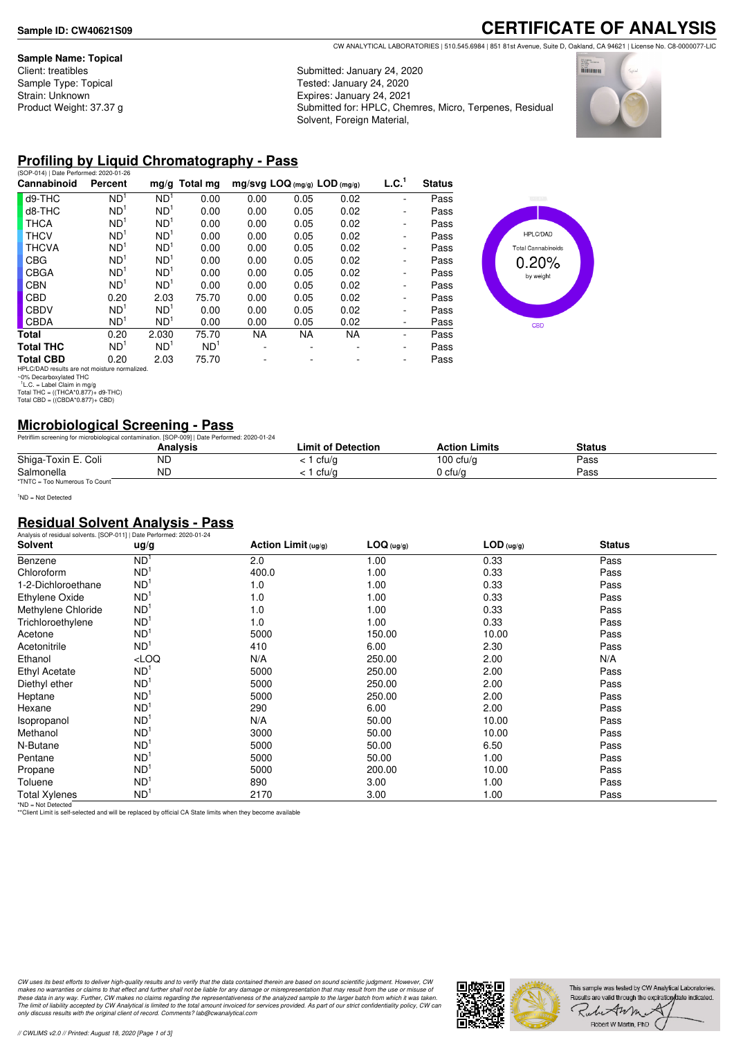#### **Sample Name: Topical**

**CERTIFICATE OF ANALYSIS** CW ANALYTICAL LABORATORIES | 510.545.6984 | 851 81st Avenue, Suite D, Oakland, CA 94621 | License No. C8-0000077-LIC

Submitted: January 24, 2020 Tested: January 24, 2020 Expires: January 24, 2021 Submitted for: HPLC, Chemres, Micro, Terpenes, Residual Solvent, Foreign Material,



# **Profiling by Liquid Chromatography - Pass**

| Percent         |                 | $mg/g$ Total mg                                                                                                                                                                                                                                                                | $mg/svg$ LOQ (mg/g) LOD (mg/g) |           |           | L.C. <sup>1</sup> | <b>Status</b> |
|-----------------|-----------------|--------------------------------------------------------------------------------------------------------------------------------------------------------------------------------------------------------------------------------------------------------------------------------|--------------------------------|-----------|-----------|-------------------|---------------|
| ND <sup>1</sup> | ND <sup>1</sup> | 0.00                                                                                                                                                                                                                                                                           | 0.00                           | 0.05      | 0.02      |                   | Pass          |
| ND <sup>1</sup> | ND <sup>1</sup> | 0.00                                                                                                                                                                                                                                                                           | 0.00                           | 0.05      | 0.02      | -                 | Pass          |
| ND <sup>1</sup> | ND <sup>1</sup> | 0.00                                                                                                                                                                                                                                                                           | 0.00                           | 0.05      | 0.02      | ۰                 | Pass          |
| ND <sup>1</sup> | ND <sup>1</sup> | 0.00                                                                                                                                                                                                                                                                           | 0.00                           | 0.05      | 0.02      | -                 | Pass          |
| ND <sup>1</sup> | ND <sup>1</sup> | 0.00                                                                                                                                                                                                                                                                           | 0.00                           | 0.05      | 0.02      | -                 | Pass          |
| ND <sup>1</sup> | ND <sup>1</sup> | 0.00                                                                                                                                                                                                                                                                           | 0.00                           | 0.05      | 0.02      | ٠                 | Pass          |
| ND <sup>1</sup> | ND <sup>1</sup> | 0.00                                                                                                                                                                                                                                                                           | 0.00                           | 0.05      | 0.02      | -                 | Pass          |
| ND <sup>1</sup> | ND <sup>1</sup> | 0.00                                                                                                                                                                                                                                                                           | 0.00                           | 0.05      | 0.02      | -                 | Pass          |
| 0.20            | 2.03            | 75.70                                                                                                                                                                                                                                                                          | 0.00                           | 0.05      | 0.02      | ٠                 | Pass          |
| ND <sup>1</sup> | ND <sup>1</sup> | 0.00                                                                                                                                                                                                                                                                           | 0.00                           | 0.05      | 0.02      | ٠                 | Pass          |
| ND <sup>1</sup> | ND <sup>1</sup> | 0.00                                                                                                                                                                                                                                                                           | 0.00                           | 0.05      | 0.02      | ٠                 | Pass          |
| 0.20            | 2.030           | 75.70                                                                                                                                                                                                                                                                          | <b>NA</b>                      | <b>NA</b> | <b>NA</b> |                   | Pass          |
| ND <sup>1</sup> | ND <sup>1</sup> | ND <sup>1</sup>                                                                                                                                                                                                                                                                |                                | ۰         |           | ٠                 | Pass          |
| 0.20            | 2.03            | 75.70                                                                                                                                                                                                                                                                          |                                |           |           | ٠                 | Pass          |
|                 |                 | $\mathbf{F}$ in $\mathbf{F}$ and $\mathbf{F}$ is a set of $\mathbf{F}$ is a set of $\mathbf{F}$ is a set of $\mathbf{F}$ is a set of $\mathbf{F}$ is a set of $\mathbf{F}$ is a set of $\mathbf{F}$ is a set of $\mathbf{F}$ is a set of $\mathbf{F}$ is a set of $\mathbf{F}$ |                                |           |           |                   |               |



# **Microbiological Screening - Pass**

|                               | Petriflim screening for microbiological contamination. [SOP-009]   Date Performed: 2020-01-24 |                    |                      |        |  |
|-------------------------------|-----------------------------------------------------------------------------------------------|--------------------|----------------------|--------|--|
|                               | Analvsis                                                                                      | Limit of Detection | <b>Action Limits</b> | Status |  |
| Shiga-Toxin E. Coli           | ΝC                                                                                            | cfu/g              | 100 cfu/g            | Pass   |  |
| Salmonella                    | <b>ND</b>                                                                                     | cfu/a              | 0 cfu/a              | Pass   |  |
| *TNTC = Too Numerous To Count |                                                                                               |                    |                      |        |  |

<sup>1</sup>ND = Not Detected

#### **Residual Solvent Analysis - Pass**

| Analysis of residual solvents. [SOP-011]   Date Performed: 2020-01-24 |                 |                        |            |              |               |  |
|-----------------------------------------------------------------------|-----------------|------------------------|------------|--------------|---------------|--|
| Solvent                                                               | ug/g            | Action Limit $( uq/q)$ | LOG (ug/g) | $LOD$ (ug/g) | <b>Status</b> |  |
| Benzene                                                               | ND <sup>1</sup> | 2.0                    | 1.00       | 0.33         | Pass          |  |
| Chloroform                                                            | ND <sup>1</sup> | 400.0                  | 1.00       | 0.33         | Pass          |  |
| 1-2-Dichloroethane                                                    | ND <sup>1</sup> | 1.0                    | 1.00       | 0.33         | Pass          |  |
| Ethylene Oxide                                                        | ND <sup>1</sup> | 1.0                    | 1.00       | 0.33         | Pass          |  |
| Methylene Chloride                                                    | ND <sup>1</sup> | 1.0                    | 1.00       | 0.33         | Pass          |  |
| Trichloroethylene                                                     | ND <sup>1</sup> | 1.0                    | 1.00       | 0.33         | Pass          |  |
| Acetone                                                               | ND <sup>1</sup> | 5000                   | 150.00     | 10.00        | Pass          |  |
| Acetonitrile                                                          | ND <sup>1</sup> | 410                    | 6.00       | 2.30         | Pass          |  |
| Ethanol                                                               | LOO             | N/A                    | 250.00     | 2.00         | N/A           |  |
| Ethyl Acetate                                                         | ND <sup>1</sup> | 5000                   | 250.00     | 2.00         | Pass          |  |
| Diethyl ether                                                         | ND <sup>1</sup> | 5000                   | 250.00     | 2.00         | Pass          |  |
| Heptane                                                               | ND <sup>1</sup> | 5000                   | 250.00     | 2.00         | Pass          |  |
| Hexane                                                                | ND <sup>1</sup> | 290                    | 6.00       | 2.00         | Pass          |  |
| Isopropanol                                                           | ND <sup>1</sup> | N/A                    | 50.00      | 10.00        | Pass          |  |
| Methanol                                                              | ND <sup>1</sup> | 3000                   | 50.00      | 10.00        | Pass          |  |
| N-Butane                                                              | ND <sup>1</sup> | 5000                   | 50.00      | 6.50         | Pass          |  |
| Pentane                                                               | ND <sup>1</sup> | 5000                   | 50.00      | 1.00         | Pass          |  |
| Propane                                                               | ND <sup>1</sup> | 5000                   | 200.00     | 10.00        | Pass          |  |
| Toluene                                                               | ND <sup>1</sup> | 890                    | 3.00       | 1.00         | Pass          |  |
| <b>Total Xylenes</b><br><b>SALES ALLE DISCUSSION</b>                  | ND <sup>1</sup> | 2170                   | 3.00       | 1.00         | Pass          |  |

\*ND = Not Detected \*\*Client Limit is self-selected and will be replaced by official CA State limits when they become available

CW uses its best efforts to deliver high-quality results and to verify that the data contained therein are based on sound scientific judgment. However, CW<br>makes no warranties or claims to that effect and further shall not *only discuss results with the original client of record. Comments? lab@cwanalytical.com*



HPLC/DAD results are not moisture normalized. ~0% Decarboxylated THC 1 L.C. = Label Claim in mg/g Total THC = ((THCA\*0.877)+ d9-THC) Total CBD = ((CBDA\*0.877)+ CBD)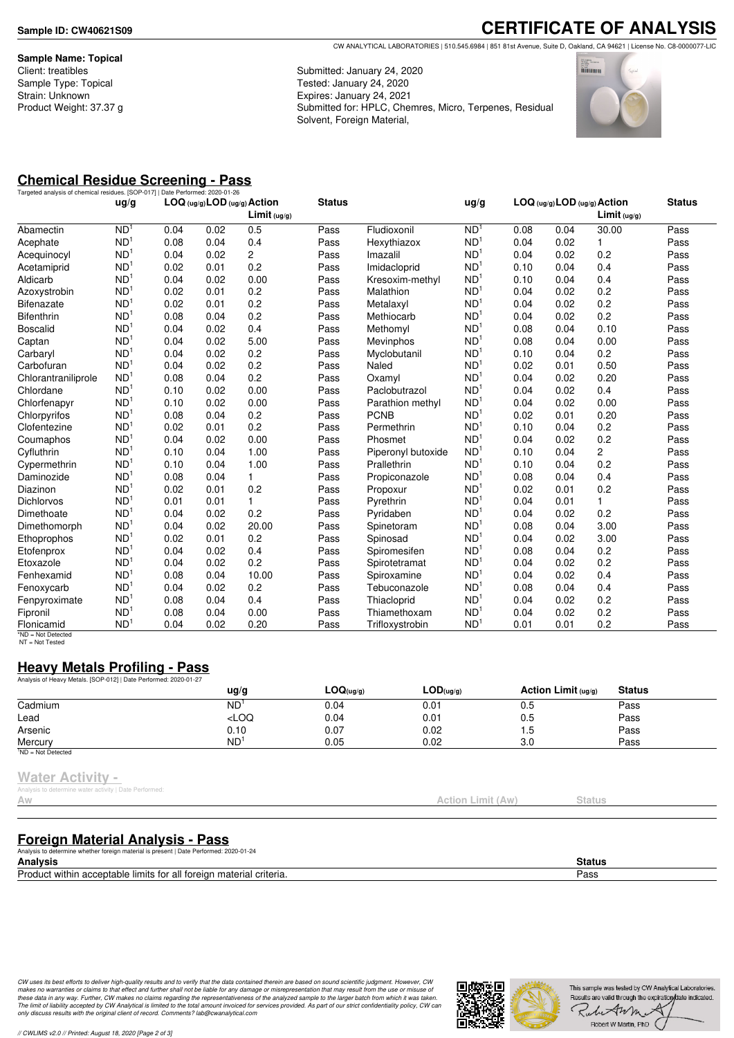**Sample Name: Topical** Client: treatibles Sample Type: Topical Strain: Unknown Product Weight: 37.37 g

**CERTIFICATE OF ANALYSIS** CW ANALYTICAL LABORATORIES | 510.545.6984 | 851 81st Avenue, Suite D, Oakland, CA 94621 | License No. C8-0000077-LIC

Submitted: January 24, 2020 Tested: January 24, 2020 Expires: January 24, 2021 Submitted for: HPLC, Chemres, Micro, Terpenes, Residual Solvent, Foreign Material,



# **Chemical Residue Screening - Pass**

| Targeted analysis of chemical residues. [SOP-017]   Date Performed: 2020-01-26 |                 |      |      |                                                             |               |                    |                 |      |                              |                |               |
|--------------------------------------------------------------------------------|-----------------|------|------|-------------------------------------------------------------|---------------|--------------------|-----------------|------|------------------------------|----------------|---------------|
|                                                                                | ug/g            |      |      | $LOG (ug/g)$ LOD $(ug/g)$ Action<br>Limit <sub>(ug/g)</sub> | <b>Status</b> |                    | ug/g            |      | LOG (ug/g) LOD (ug/g) Action | Limit (ug/g)   | <b>Status</b> |
| Abamectin                                                                      | ND <sup>1</sup> | 0.04 | 0.02 | 0.5                                                         | Pass          | Fludioxonil        | ND <sup>1</sup> | 0.08 | 0.04                         | 30.00          | Pass          |
| Acephate                                                                       | ND <sup>1</sup> | 0.08 | 0.04 | 0.4                                                         | Pass          | Hexythiazox        | ND <sup>1</sup> | 0.04 | 0.02                         | 1              | Pass          |
| Acequinocyl                                                                    | ND <sup>1</sup> | 0.04 | 0.02 | $\overline{2}$                                              | Pass          | Imazalil           | ND <sup>1</sup> | 0.04 | 0.02                         | 0.2            | Pass          |
| Acetamiprid                                                                    | ND <sup>1</sup> | 0.02 | 0.01 | 0.2                                                         | Pass          | Imidacloprid       | ND <sup>1</sup> | 0.10 | 0.04                         | 0.4            | Pass          |
| Aldicarb                                                                       | ND <sup>1</sup> | 0.04 | 0.02 | 0.00                                                        | Pass          | Kresoxim-methyl    | ND <sup>1</sup> | 0.10 | 0.04                         | 0.4            | Pass          |
| Azoxystrobin                                                                   | ND <sup>1</sup> | 0.02 | 0.01 | 0.2                                                         | Pass          | Malathion          | ND <sup>1</sup> | 0.04 | 0.02                         | 0.2            | Pass          |
| <b>Bifenazate</b>                                                              | ND <sup>1</sup> | 0.02 | 0.01 | 0.2                                                         | Pass          | Metalaxyl          | ND <sup>1</sup> | 0.04 | 0.02                         | 0.2            | Pass          |
| <b>Bifenthrin</b>                                                              | ND <sup>1</sup> | 0.08 | 0.04 | 0.2                                                         | Pass          | Methiocarb         | ND <sup>1</sup> | 0.04 | 0.02                         | 0.2            | Pass          |
| <b>Boscalid</b>                                                                | ND <sup>1</sup> | 0.04 | 0.02 | 0.4                                                         | Pass          | Methomyl           | ND <sup>1</sup> | 0.08 | 0.04                         | 0.10           | Pass          |
| Captan                                                                         | ND <sup>1</sup> | 0.04 | 0.02 | 5.00                                                        | Pass          | <b>Mevinphos</b>   | ND <sup>1</sup> | 0.08 | 0.04                         | 0.00           | Pass          |
| Carbaryl                                                                       | ND <sup>1</sup> | 0.04 | 0.02 | 0.2                                                         | Pass          | Myclobutanil       | ND              | 0.10 | 0.04                         | 0.2            | Pass          |
| Carbofuran                                                                     | ND <sup>1</sup> | 0.04 | 0.02 | 0.2                                                         | Pass          | Naled              | ND              | 0.02 | 0.01                         | 0.50           | Pass          |
| Chlorantraniliprole                                                            | ND <sup>1</sup> | 0.08 | 0.04 | 0.2                                                         | Pass          | Oxamyl             | N <sub>D</sub>  | 0.04 | 0.02                         | 0.20           | Pass          |
| Chlordane                                                                      | ND <sup>1</sup> | 0.10 | 0.02 | 0.00                                                        | Pass          | Paclobutrazol      | N <sub>D</sub>  | 0.04 | 0.02                         | 0.4            | Pass          |
| Chlorfenapyr                                                                   | ND <sup>1</sup> | 0.10 | 0.02 | 0.00                                                        | Pass          | Parathion methyl   | ND <sup>1</sup> | 0.04 | 0.02                         | 0.00           | Pass          |
| Chlorpyrifos                                                                   | ND <sup>1</sup> | 0.08 | 0.04 | 0.2                                                         | Pass          | <b>PCNB</b>        | ND <sup>1</sup> | 0.02 | 0.01                         | 0.20           | Pass          |
| Clofentezine                                                                   | ND <sup>1</sup> | 0.02 | 0.01 | 0.2                                                         | Pass          | Permethrin         | ND <sup>1</sup> | 0.10 | 0.04                         | 0.2            | Pass          |
| Coumaphos                                                                      | ND <sup>1</sup> | 0.04 | 0.02 | 0.00                                                        | Pass          | Phosmet            | ND <sup>1</sup> | 0.04 | 0.02                         | 0.2            | Pass          |
| Cyfluthrin                                                                     | ND <sup>1</sup> | 0.10 | 0.04 | 1.00                                                        | Pass          | Piperonyl butoxide | N <sub>D</sub>  | 0.10 | 0.04                         | $\overline{c}$ | Pass          |
| Cypermethrin                                                                   | ND <sup>1</sup> | 0.10 | 0.04 | 1.00                                                        | Pass          | Prallethrin        | N <sub>D</sub>  | 0.10 | 0.04                         | 0.2            | Pass          |
| Daminozide                                                                     | ND <sup>1</sup> | 0.08 | 0.04 | 1                                                           | Pass          | Propiconazole      | ND <sup>1</sup> | 0.08 | 0.04                         | 0.4            | Pass          |
| Diazinon                                                                       | ND <sup>1</sup> | 0.02 | 0.01 | 0.2                                                         | Pass          | Propoxur           | ND              | 0.02 | 0.01                         | 0.2            | Pass          |
| <b>Dichlorvos</b>                                                              | ND <sup>1</sup> | 0.01 | 0.01 | 1                                                           | Pass          | Pyrethrin          | ND              | 0.04 | 0.01                         | 1              | Pass          |
| Dimethoate                                                                     | ND <sup>1</sup> | 0.04 | 0.02 | 0.2                                                         | Pass          | Pyridaben          | N <sub>D</sub>  | 0.04 | 0.02                         | 0.2            | Pass          |
| Dimethomorph                                                                   | ND <sup>1</sup> | 0.04 | 0.02 | 20.00                                                       | Pass          | Spinetoram         | N <sub>D</sub>  | 0.08 | 0.04                         | 3.00           | Pass          |
| Ethoprophos                                                                    | ND <sup>1</sup> | 0.02 | 0.01 | 0.2                                                         | Pass          | Spinosad           | ND <sup>1</sup> | 0.04 | 0.02                         | 3.00           | Pass          |
| Etofenprox                                                                     | ND <sup>1</sup> | 0.04 | 0.02 | 0.4                                                         | Pass          | Spiromesifen       | ND <sup>1</sup> | 0.08 | 0.04                         | 0.2            | Pass          |
| Etoxazole                                                                      | ND <sup>1</sup> | 0.04 | 0.02 | 0.2                                                         | Pass          | Spirotetramat      | ND <sup>1</sup> | 0.04 | 0.02                         | 0.2            | Pass          |
| Fenhexamid                                                                     | ND <sup>1</sup> | 0.08 | 0.04 | 10.00                                                       | Pass          | Spiroxamine        | ND <sup>1</sup> | 0.04 | 0.02                         | 0.4            | Pass          |
| Fenoxycarb                                                                     | ND <sup>1</sup> | 0.04 | 0.02 | 0.2                                                         | Pass          | Tebuconazole       | ND <sup>1</sup> | 0.08 | 0.04                         | 0.4            | Pass          |
| Fenpyroximate                                                                  | ND <sup>1</sup> | 0.08 | 0.04 | 0.4                                                         | Pass          | Thiacloprid        | ND <sup>1</sup> | 0.04 | 0.02                         | 0.2            | Pass          |
| Fipronil                                                                       | ND <sup>1</sup> | 0.08 | 0.04 | 0.00                                                        | Pass          | Thiamethoxam       | ND              | 0.04 | 0.02                         | 0.2            | Pass          |
| Flonicamid                                                                     | ND <sup>1</sup> | 0.04 | 0.02 | 0.20                                                        | Pass          | Trifloxystrobin    | ND              | 0.01 | 0.01                         | 0.2            | Pass          |

\*ND = Not Detected NT = Not Tested

### **Heavy Metals Profiling - Pass**

| Analysis of Heavy Metals. [SOP-012]   Date Performed: 2020-01-27 |                 |           |                               |                       |               |  |
|------------------------------------------------------------------|-----------------|-----------|-------------------------------|-----------------------|---------------|--|
|                                                                  | $\frac{u}{g}$   | LOG(ug/g) | $\mathsf{LOD}(\mathsf{ug/g})$ | Action Limit $(uq/q)$ | <b>Status</b> |  |
| Cadmium                                                          | <b>ND</b>       | 0.04      | 0.01                          | 0.5                   | Pass          |  |
| Lead                                                             | LOO             | 0.04      | 0.01                          | 0.5                   | Pass          |  |
| Arsenic                                                          | 0.10            | 0.07      | 0.02                          | 5. ا                  | Pass          |  |
| Mercurv                                                          | ND <sup>1</sup> | 0.05      | 0.02                          | 3.0                   | Pass          |  |
| <sup>1</sup> ND = Not Detected                                   |                 |           |                               |                       |               |  |

#### **Water Activity -**

s to determine water activity | Date Performed

# Action Limit (Aw) Status

## **Foreign Material Analysis - Pass**

Analysis to determine whether foreign material is present | Date Performed: 2020-01-24 **Analysis Status**

Product within acceptable limits for all foreign material criteria. Pass

CW uses its best efforts to deliver high-quality results and to verify that the data contained therein are based on sound scientific judgment. However, CW<br>makes no warranties or claims to that effect and further shall not *only discuss results with the original client of record. Comments? lab@cwanalytical.com*